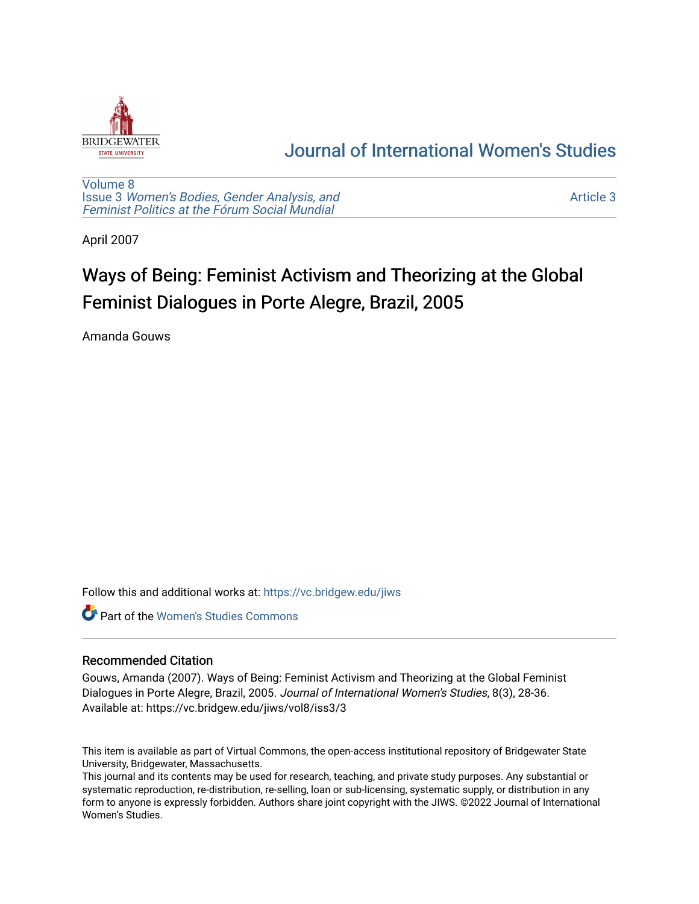

## [Journal of International Women's Studies](https://vc.bridgew.edu/jiws)

[Volume 8](https://vc.bridgew.edu/jiws/vol8) Issue 3 [Women's Bodies, Gender Analysis, and](https://vc.bridgew.edu/jiws/vol8/iss3) [Feminist Politics at the Fórum Social Mundial](https://vc.bridgew.edu/jiws/vol8/iss3)

[Article 3](https://vc.bridgew.edu/jiws/vol8/iss3/3) 

April 2007

# Ways of Being: Feminist Activism and Theorizing at the Global Feminist Dialogues in Porte Alegre, Brazil, 2005

Amanda Gouws

Follow this and additional works at: [https://vc.bridgew.edu/jiws](https://vc.bridgew.edu/jiws?utm_source=vc.bridgew.edu%2Fjiws%2Fvol8%2Fiss3%2F3&utm_medium=PDF&utm_campaign=PDFCoverPages)

**C** Part of the Women's Studies Commons

## Recommended Citation

Gouws, Amanda (2007). Ways of Being: Feminist Activism and Theorizing at the Global Feminist Dialogues in Porte Alegre, Brazil, 2005. Journal of International Women's Studies, 8(3), 28-36. Available at: https://vc.bridgew.edu/jiws/vol8/iss3/3

This item is available as part of Virtual Commons, the open-access institutional repository of Bridgewater State University, Bridgewater, Massachusetts.

This journal and its contents may be used for research, teaching, and private study purposes. Any substantial or systematic reproduction, re-distribution, re-selling, loan or sub-licensing, systematic supply, or distribution in any form to anyone is expressly forbidden. Authors share joint copyright with the JIWS. ©2022 Journal of International Women's Studies.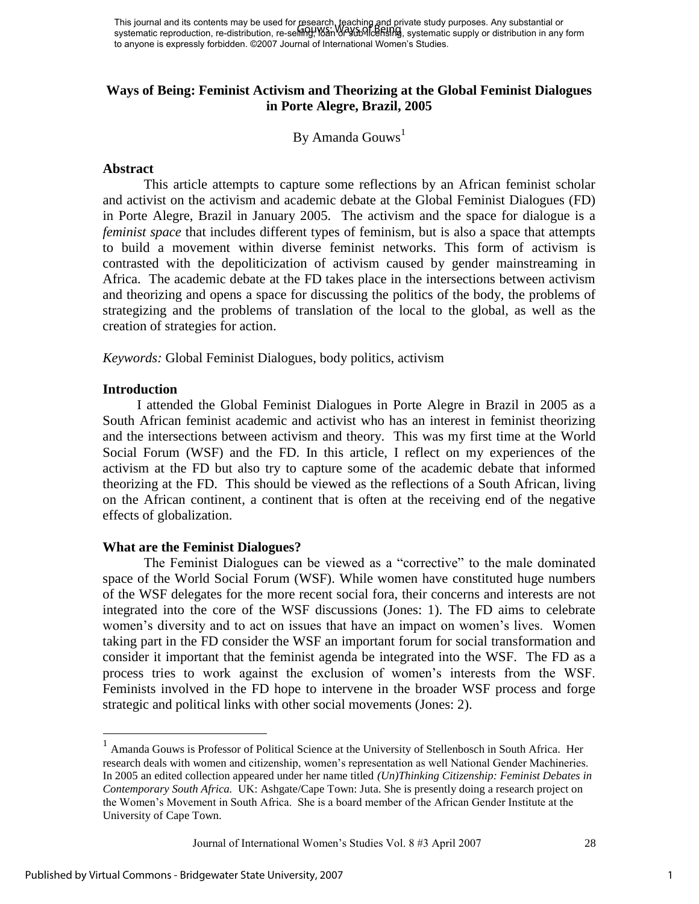This journal and its contents may be used for research, teaching and private study purposes. Any substantial or This journal and its contents may be used for Escarch, reading and private study parposes. Any substantial or<br>systematic reproduction, re-distribution, re-selling, Wan 0r 36b 91ceRship, systematic supply or distribution in to anyone is expressly forbidden. ©2007 Journal of International Women's Studies.

## **Ways of Being: Feminist Activism and Theorizing at the Global Feminist Dialogues in Porte Alegre, Brazil, 2005**

By Amanda Gouws<sup>1</sup>

#### **Abstract**

This article attempts to capture some reflections by an African feminist scholar and activist on the activism and academic debate at the Global Feminist Dialogues (FD) in Porte Alegre, Brazil in January 2005. The activism and the space for dialogue is a *feminist space* that includes different types of feminism, but is also a space that attempts to build a movement within diverse feminist networks. This form of activism is contrasted with the depoliticization of activism caused by gender mainstreaming in Africa. The academic debate at the FD takes place in the intersections between activism and theorizing and opens a space for discussing the politics of the body, the problems of strategizing and the problems of translation of the local to the global, as well as the creation of strategies for action.

*Keywords:* Global Feminist Dialogues, body politics, activism

#### **Introduction**

 $\overline{a}$ 

I attended the Global Feminist Dialogues in Porte Alegre in Brazil in 2005 as a South African feminist academic and activist who has an interest in feminist theorizing and the intersections between activism and theory. This was my first time at the World Social Forum (WSF) and the FD. In this article, I reflect on my experiences of the activism at the FD but also try to capture some of the academic debate that informed theorizing at the FD. This should be viewed as the reflections of a South African, living on the African continent, a continent that is often at the receiving end of the negative effects of globalization.

#### **What are the Feminist Dialogues?**

The Feminist Dialogues can be viewed as a "corrective" to the male dominated space of the World Social Forum (WSF). While women have constituted huge numbers of the WSF delegates for the more recent social fora, their concerns and interests are not integrated into the core of the WSF discussions (Jones: 1). The FD aims to celebrate women's diversity and to act on issues that have an impact on women's lives. Women taking part in the FD consider the WSF an important forum for social transformation and consider it important that the feminist agenda be integrated into the WSF. The FD as a process tries to work against the exclusion of women's interests from the WSF. Feminists involved in the FD hope to intervene in the broader WSF process and forge strategic and political links with other social movements (Jones: 2).

Journal of International Women's Studies Vol. 8 #3 April 2007 28

1

<sup>&</sup>lt;sup>1</sup> Amanda Gouws is Professor of Political Science at the University of Stellenbosch in South Africa. Her research deals with women and citizenship, women's representation as well National Gender Machineries. In 2005 an edited collection appeared under her name titled *(Un)Thinking Citizenship: Feminist Debates in Contemporary South Africa.* UK: Ashgate/Cape Town: Juta. She is presently doing a research project on the Women's Movement in South Africa. She is a board member of the African Gender Institute at the University of Cape Town.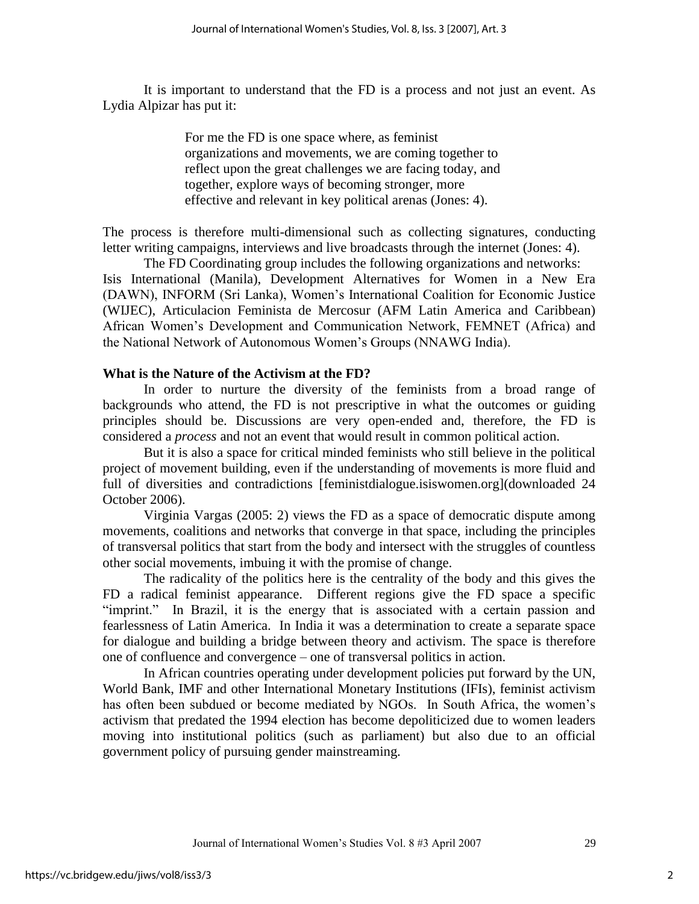It is important to understand that the FD is a process and not just an event. As Lydia Alpizar has put it:

> For me the FD is one space where, as feminist organizations and movements, we are coming together to reflect upon the great challenges we are facing today, and together, explore ways of becoming stronger, more effective and relevant in key political arenas (Jones: 4).

The process is therefore multi-dimensional such as collecting signatures, conducting letter writing campaigns, interviews and live broadcasts through the internet (Jones: 4).

The FD Coordinating group includes the following organizations and networks: Isis International (Manila), Development Alternatives for Women in a New Era (DAWN), INFORM (Sri Lanka), Women's International Coalition for Economic Justice (WIJEC), Articulacion Feminista de Mercosur (AFM Latin America and Caribbean) African Women's Development and Communication Network, FEMNET (Africa) and the National Network of Autonomous Women's Groups (NNAWG India).

#### **What is the Nature of the Activism at the FD?**

In order to nurture the diversity of the feminists from a broad range of backgrounds who attend, the FD is not prescriptive in what the outcomes or guiding principles should be. Discussions are very open-ended and, therefore, the FD is considered a *process* and not an event that would result in common political action.

But it is also a space for critical minded feminists who still believe in the political project of movement building, even if the understanding of movements is more fluid and full of diversities and contradictions [feministdialogue.isiswomen.org](downloaded 24 October 2006).

 Virginia Vargas (2005: 2) views the FD as a space of democratic dispute among movements, coalitions and networks that converge in that space, including the principles of transversal politics that start from the body and intersect with the struggles of countless other social movements, imbuing it with the promise of change.

The radicality of the politics here is the centrality of the body and this gives the FD a radical feminist appearance. Different regions give the FD space a specific "imprint." In Brazil, it is the energy that is associated with a certain passion and fearlessness of Latin America. In India it was a determination to create a separate space for dialogue and building a bridge between theory and activism. The space is therefore one of confluence and convergence – one of transversal politics in action.

In African countries operating under development policies put forward by the UN, World Bank, IMF and other International Monetary Institutions (IFIs), feminist activism has often been subdued or become mediated by NGOs. In South Africa, the women's activism that predated the 1994 election has become depoliticized due to women leaders moving into institutional politics (such as parliament) but also due to an official government policy of pursuing gender mainstreaming.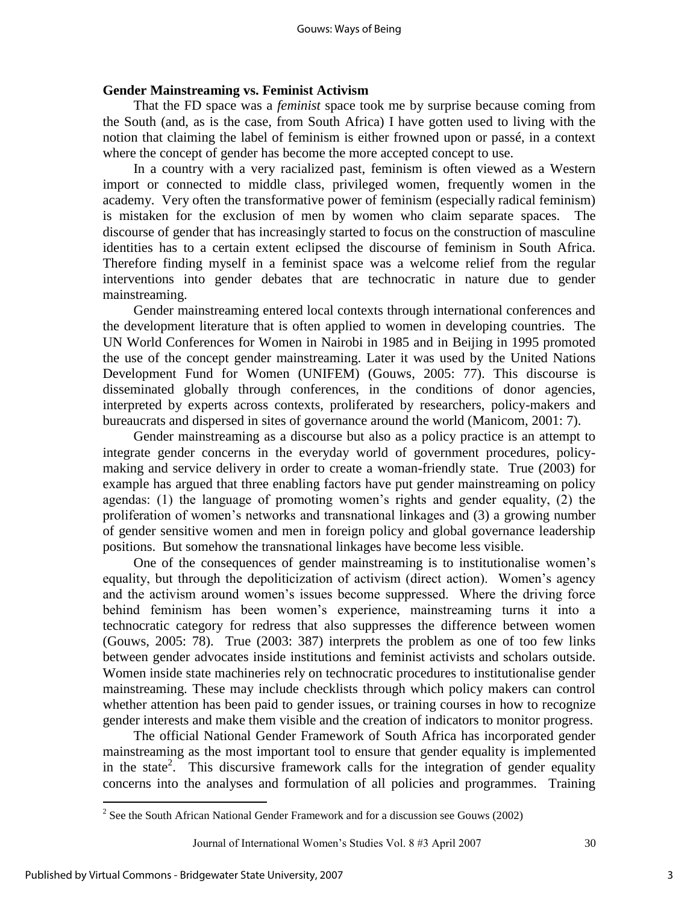## **Gender Mainstreaming vs. Feminist Activism**

That the FD space was a *feminist* space took me by surprise because coming from the South (and, as is the case, from South Africa) I have gotten used to living with the notion that claiming the label of feminism is either frowned upon or passé, in a context where the concept of gender has become the more accepted concept to use.

In a country with a very racialized past, feminism is often viewed as a Western import or connected to middle class, privileged women, frequently women in the academy. Very often the transformative power of feminism (especially radical feminism) is mistaken for the exclusion of men by women who claim separate spaces. The discourse of gender that has increasingly started to focus on the construction of masculine identities has to a certain extent eclipsed the discourse of feminism in South Africa. Therefore finding myself in a feminist space was a welcome relief from the regular interventions into gender debates that are technocratic in nature due to gender mainstreaming.

Gender mainstreaming entered local contexts through international conferences and the development literature that is often applied to women in developing countries. The UN World Conferences for Women in Nairobi in 1985 and in Beijing in 1995 promoted the use of the concept gender mainstreaming. Later it was used by the United Nations Development Fund for Women (UNIFEM) (Gouws, 2005: 77). This discourse is disseminated globally through conferences, in the conditions of donor agencies, interpreted by experts across contexts, proliferated by researchers, policy-makers and bureaucrats and dispersed in sites of governance around the world (Manicom, 2001: 7).

Gender mainstreaming as a discourse but also as a policy practice is an attempt to integrate gender concerns in the everyday world of government procedures, policymaking and service delivery in order to create a woman-friendly state. True (2003) for example has argued that three enabling factors have put gender mainstreaming on policy agendas: (1) the language of promoting women's rights and gender equality, (2) the proliferation of women's networks and transnational linkages and (3) a growing number of gender sensitive women and men in foreign policy and global governance leadership positions. But somehow the transnational linkages have become less visible.

One of the consequences of gender mainstreaming is to institutionalise women's equality, but through the depoliticization of activism (direct action). Women's agency and the activism around women's issues become suppressed. Where the driving force behind feminism has been women's experience, mainstreaming turns it into a technocratic category for redress that also suppresses the difference between women (Gouws, 2005: 78). True (2003: 387) interprets the problem as one of too few links between gender advocates inside institutions and feminist activists and scholars outside. Women inside state machineries rely on technocratic procedures to institutionalise gender mainstreaming. These may include checklists through which policy makers can control whether attention has been paid to gender issues, or training courses in how to recognize gender interests and make them visible and the creation of indicators to monitor progress.

The official National Gender Framework of South Africa has incorporated gender mainstreaming as the most important tool to ensure that gender equality is implemented in the state<sup>2</sup>. This discursive framework calls for the integration of gender equality concerns into the analyses and formulation of all policies and programmes. Training

 $\overline{a}$ 

 $2^{2}$  See the South African National Gender Framework and for a discussion see Gouws (2002)

Journal of International Women's Studies Vol. 8 #3 April 2007 30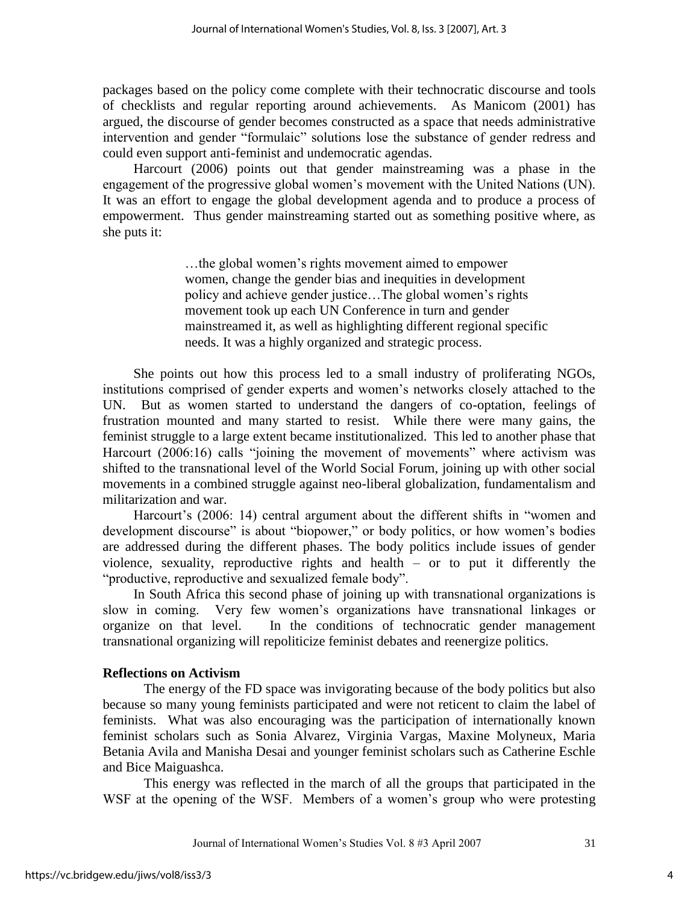packages based on the policy come complete with their technocratic discourse and tools of checklists and regular reporting around achievements. As Manicom (2001) has argued, the discourse of gender becomes constructed as a space that needs administrative intervention and gender "formulaic" solutions lose the substance of gender redress and could even support anti-feminist and undemocratic agendas.

Harcourt (2006) points out that gender mainstreaming was a phase in the engagement of the progressive global women's movement with the United Nations (UN). It was an effort to engage the global development agenda and to produce a process of empowerment. Thus gender mainstreaming started out as something positive where, as she puts it:

> …the global women's rights movement aimed to empower women, change the gender bias and inequities in development policy and achieve gender justice…The global women's rights movement took up each UN Conference in turn and gender mainstreamed it, as well as highlighting different regional specific needs. It was a highly organized and strategic process.

She points out how this process led to a small industry of proliferating NGOs, institutions comprised of gender experts and women's networks closely attached to the UN. But as women started to understand the dangers of co-optation, feelings of frustration mounted and many started to resist. While there were many gains, the feminist struggle to a large extent became institutionalized. This led to another phase that Harcourt  $(2006:16)$  calls "joining the movement of movements" where activism was shifted to the transnational level of the World Social Forum, joining up with other social movements in a combined struggle against neo-liberal globalization, fundamentalism and militarization and war.

Harcourt's (2006: 14) central argument about the different shifts in "women and development discourse" is about "biopower," or body politics, or how women's bodies are addressed during the different phases. The body politics include issues of gender violence, sexuality, reproductive rights and health – or to put it differently the "productive, reproductive and sexualized female body".

In South Africa this second phase of joining up with transnational organizations is slow in coming. Very few women's organizations have transnational linkages or organize on that level. In the conditions of technocratic gender management transnational organizing will repoliticize feminist debates and reenergize politics.

## **Reflections on Activism**

The energy of the FD space was invigorating because of the body politics but also because so many young feminists participated and were not reticent to claim the label of feminists. What was also encouraging was the participation of internationally known feminist scholars such as Sonia Alvarez, Virginia Vargas, Maxine Molyneux, Maria Betania Avila and Manisha Desai and younger feminist scholars such as Catherine Eschle and Bice Maiguashca.

This energy was reflected in the march of all the groups that participated in the WSF at the opening of the WSF. Members of a women's group who were protesting

Journal of International Women's Studies Vol. 8 #3 April 2007 31

4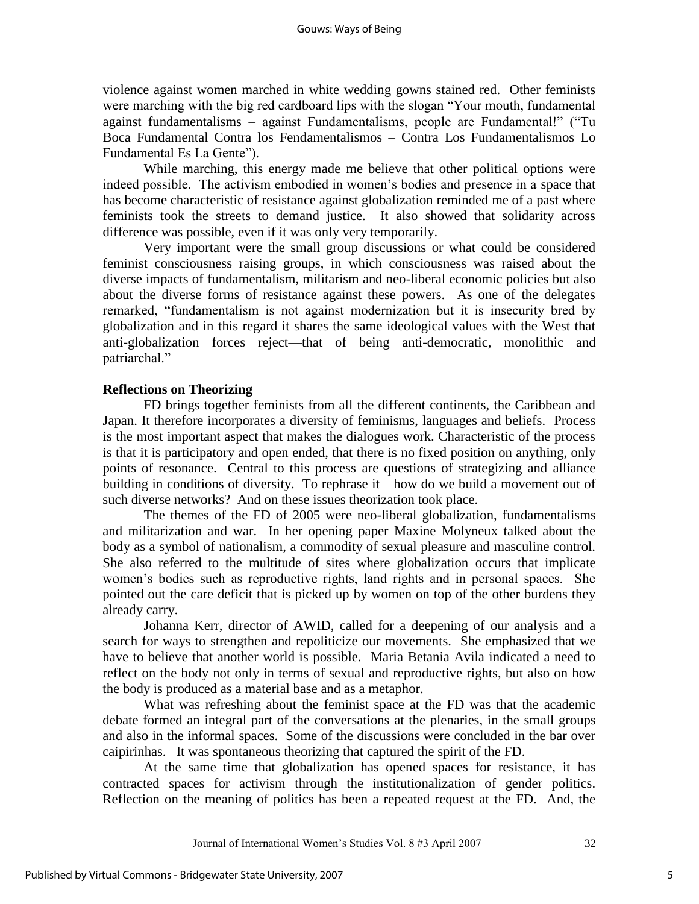violence against women marched in white wedding gowns stained red. Other feminists were marching with the big red cardboard lips with the slogan "Your mouth, fundamental against fundamentalisms – against Fundamentalisms, people are Fundamental!" ("Tu Boca Fundamental Contra los Fendamentalismos – Contra Los Fundamentalismos Lo Fundamental Es La Gente").

While marching, this energy made me believe that other political options were indeed possible. The activism embodied in women's bodies and presence in a space that has become characteristic of resistance against globalization reminded me of a past where feminists took the streets to demand justice. It also showed that solidarity across difference was possible, even if it was only very temporarily.

 Very important were the small group discussions or what could be considered feminist consciousness raising groups, in which consciousness was raised about the diverse impacts of fundamentalism, militarism and neo-liberal economic policies but also about the diverse forms of resistance against these powers. As one of the delegates remarked, "fundamentalism is not against modernization but it is insecurity bred by globalization and in this regard it shares the same ideological values with the West that anti-globalization forces reject—that of being anti-democratic, monolithic and patriarchal."

## **Reflections on Theorizing**

FD brings together feminists from all the different continents, the Caribbean and Japan. It therefore incorporates a diversity of feminisms, languages and beliefs. Process is the most important aspect that makes the dialogues work. Characteristic of the process is that it is participatory and open ended, that there is no fixed position on anything, only points of resonance. Central to this process are questions of strategizing and alliance building in conditions of diversity. To rephrase it—how do we build a movement out of such diverse networks? And on these issues theorization took place.

The themes of the FD of 2005 were neo-liberal globalization, fundamentalisms and militarization and war. In her opening paper Maxine Molyneux talked about the body as a symbol of nationalism, a commodity of sexual pleasure and masculine control. She also referred to the multitude of sites where globalization occurs that implicate women's bodies such as reproductive rights, land rights and in personal spaces. She pointed out the care deficit that is picked up by women on top of the other burdens they already carry.

Johanna Kerr, director of AWID, called for a deepening of our analysis and a search for ways to strengthen and repoliticize our movements. She emphasized that we have to believe that another world is possible. Maria Betania Avila indicated a need to reflect on the body not only in terms of sexual and reproductive rights, but also on how the body is produced as a material base and as a metaphor.

What was refreshing about the feminist space at the FD was that the academic debate formed an integral part of the conversations at the plenaries, in the small groups and also in the informal spaces. Some of the discussions were concluded in the bar over caipirinhas. It was spontaneous theorizing that captured the spirit of the FD.

At the same time that globalization has opened spaces for resistance, it has contracted spaces for activism through the institutionalization of gender politics. Reflection on the meaning of politics has been a repeated request at the FD. And, the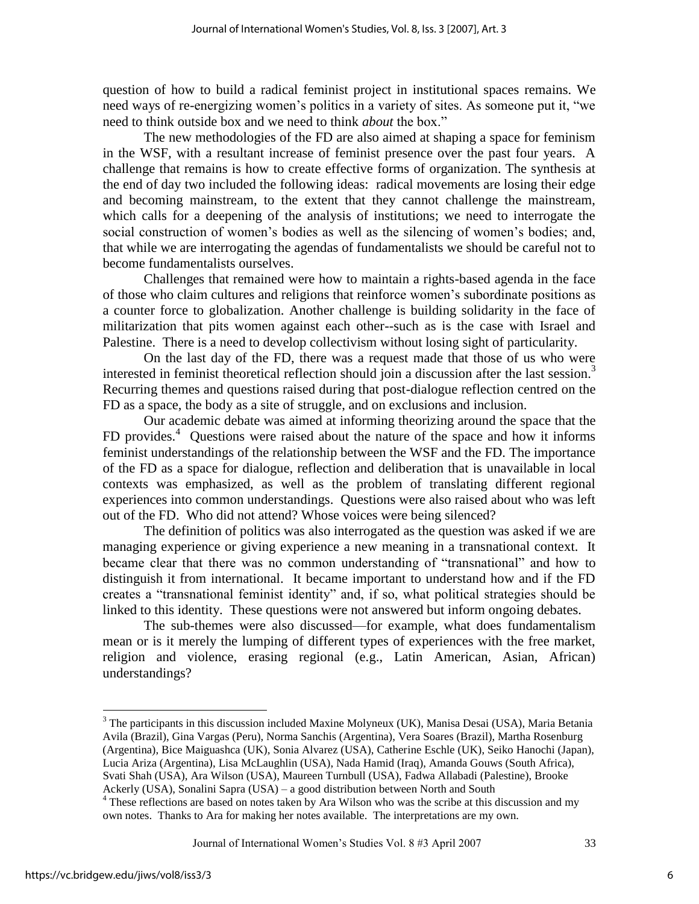question of how to build a radical feminist project in institutional spaces remains. We need ways of re-energizing women's politics in a variety of sites. As someone put it, "we need to think outside box and we need to think *about* the box."

The new methodologies of the FD are also aimed at shaping a space for feminism in the WSF, with a resultant increase of feminist presence over the past four years. A challenge that remains is how to create effective forms of organization. The synthesis at the end of day two included the following ideas: radical movements are losing their edge and becoming mainstream, to the extent that they cannot challenge the mainstream, which calls for a deepening of the analysis of institutions; we need to interrogate the social construction of women's bodies as well as the silencing of women's bodies; and, that while we are interrogating the agendas of fundamentalists we should be careful not to become fundamentalists ourselves.

Challenges that remained were how to maintain a rights-based agenda in the face of those who claim cultures and religions that reinforce women's subordinate positions as a counter force to globalization. Another challenge is building solidarity in the face of militarization that pits women against each other--such as is the case with Israel and Palestine. There is a need to develop collectivism without losing sight of particularity.

On the last day of the FD, there was a request made that those of us who were interested in feminist theoretical reflection should join a discussion after the last session.<sup>3</sup> Recurring themes and questions raised during that post-dialogue reflection centred on the FD as a space, the body as a site of struggle, and on exclusions and inclusion.

Our academic debate was aimed at informing theorizing around the space that the FD provides.<sup>4</sup> Questions were raised about the nature of the space and how it informs feminist understandings of the relationship between the WSF and the FD. The importance of the FD as a space for dialogue, reflection and deliberation that is unavailable in local contexts was emphasized, as well as the problem of translating different regional experiences into common understandings. Questions were also raised about who was left out of the FD. Who did not attend? Whose voices were being silenced?

The definition of politics was also interrogated as the question was asked if we are managing experience or giving experience a new meaning in a transnational context. It became clear that there was no common understanding of "transnational" and how to distinguish it from international. It became important to understand how and if the FD creates a "transnational feminist identity" and, if so, what political strategies should be linked to this identity. These questions were not answered but inform ongoing debates.

The sub-themes were also discussed—for example, what does fundamentalism mean or is it merely the lumping of different types of experiences with the free market, religion and violence, erasing regional (e.g., Latin American, Asian, African) understandings?

 $\overline{a}$ 

<sup>&</sup>lt;sup>3</sup> The participants in this discussion included Maxine Molyneux (UK), Manisa Desai (USA), Maria Betania Avila (Brazil), Gina Vargas (Peru), Norma Sanchis (Argentina), Vera Soares (Brazil), Martha Rosenburg (Argentina), Bice Maiguashca (UK), Sonia Alvarez (USA), Catherine Eschle (UK), Seiko Hanochi (Japan), Lucia Ariza (Argentina), Lisa McLaughlin (USA), Nada Hamid (Iraq), Amanda Gouws (South Africa), Svati Shah (USA), Ara Wilson (USA), Maureen Turnbull (USA), Fadwa Allabadi (Palestine), Brooke

Ackerly (USA), Sonalini Sapra (USA) – a good distribution between North and South

<sup>&</sup>lt;sup>4</sup> These reflections are based on notes taken by Ara Wilson who was the scribe at this discussion and my own notes. Thanks to Ara for making her notes available. The interpretations are my own.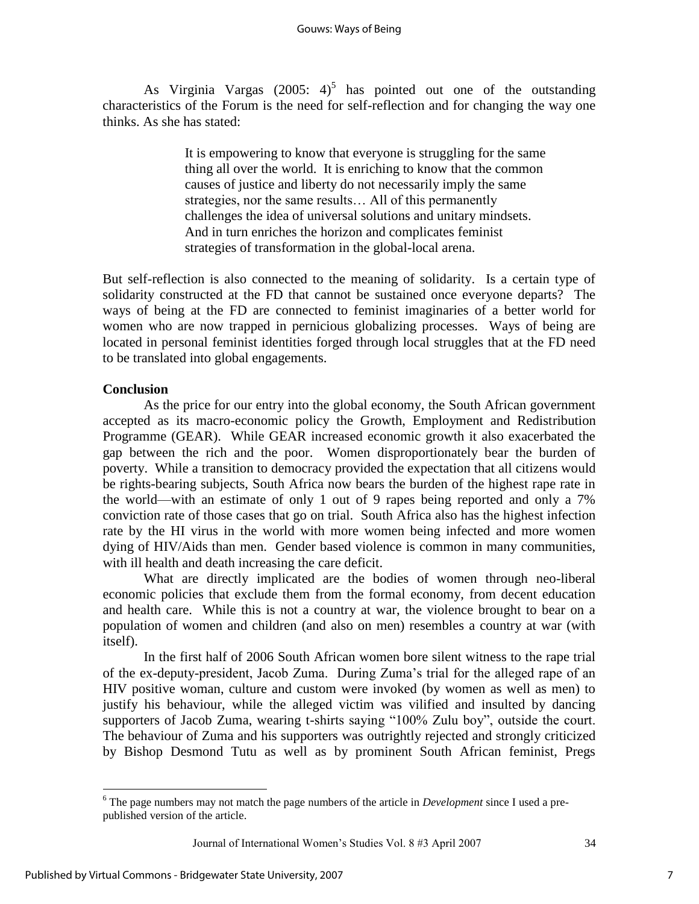As Virginia Vargas (2005:  $4^{5}$  has pointed out one of the outstanding characteristics of the Forum is the need for self-reflection and for changing the way one thinks. As she has stated:

> It is empowering to know that everyone is struggling for the same thing all over the world. It is enriching to know that the common causes of justice and liberty do not necessarily imply the same strategies, nor the same results… All of this permanently challenges the idea of universal solutions and unitary mindsets. And in turn enriches the horizon and complicates feminist strategies of transformation in the global-local arena.

But self-reflection is also connected to the meaning of solidarity. Is a certain type of solidarity constructed at the FD that cannot be sustained once everyone departs? The ways of being at the FD are connected to feminist imaginaries of a better world for women who are now trapped in pernicious globalizing processes. Ways of being are located in personal feminist identities forged through local struggles that at the FD need to be translated into global engagements.

## **Conclusion**

As the price for our entry into the global economy, the South African government accepted as its macro-economic policy the Growth, Employment and Redistribution Programme (GEAR). While GEAR increased economic growth it also exacerbated the gap between the rich and the poor. Women disproportionately bear the burden of poverty. While a transition to democracy provided the expectation that all citizens would be rights-bearing subjects, South Africa now bears the burden of the highest rape rate in the world—with an estimate of only 1 out of 9 rapes being reported and only a 7% conviction rate of those cases that go on trial. South Africa also has the highest infection rate by the HI virus in the world with more women being infected and more women dying of HIV/Aids than men. Gender based violence is common in many communities, with ill health and death increasing the care deficit.

What are directly implicated are the bodies of women through neo-liberal economic policies that exclude them from the formal economy, from decent education and health care. While this is not a country at war, the violence brought to bear on a population of women and children (and also on men) resembles a country at war (with itself).

In the first half of 2006 South African women bore silent witness to the rape trial of the ex-deputy-president, Jacob Zuma. During Zuma's trial for the alleged rape of an HIV positive woman, culture and custom were invoked (by women as well as men) to justify his behaviour, while the alleged victim was vilified and insulted by dancing supporters of Jacob Zuma, wearing t-shirts saying "100% Zulu boy", outside the court. The behaviour of Zuma and his supporters was outrightly rejected and strongly criticized by Bishop Desmond Tutu as well as by prominent South African feminist, Pregs

 $\overline{a}$ 

<sup>6</sup> The page numbers may not match the page numbers of the article in *Development* since I used a prepublished version of the article.

Journal of International Women's Studies Vol. 8 #3 April 2007 34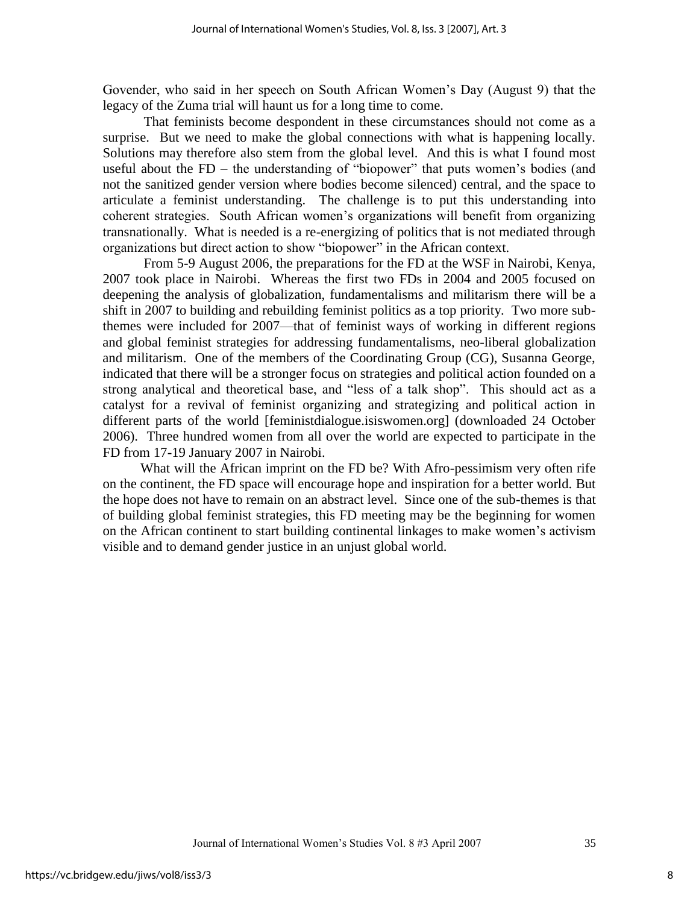Govender, who said in her speech on South African Women's Day (August 9) that the legacy of the Zuma trial will haunt us for a long time to come.

That feminists become despondent in these circumstances should not come as a surprise. But we need to make the global connections with what is happening locally. Solutions may therefore also stem from the global level. And this is what I found most useful about the  $FD -$  the understanding of "biopower" that puts women's bodies (and not the sanitized gender version where bodies become silenced) central, and the space to articulate a feminist understanding. The challenge is to put this understanding into coherent strategies. South African women's organizations will benefit from organizing transnationally. What is needed is a re-energizing of politics that is not mediated through organizations but direct action to show "biopower" in the African context.

From 5-9 August 2006, the preparations for the FD at the WSF in Nairobi, Kenya, 2007 took place in Nairobi. Whereas the first two FDs in 2004 and 2005 focused on deepening the analysis of globalization, fundamentalisms and militarism there will be a shift in 2007 to building and rebuilding feminist politics as a top priority. Two more subthemes were included for 2007—that of feminist ways of working in different regions and global feminist strategies for addressing fundamentalisms, neo-liberal globalization and militarism. One of the members of the Coordinating Group (CG), Susanna George, indicated that there will be a stronger focus on strategies and political action founded on a strong analytical and theoretical base, and "less of a talk shop". This should act as a catalyst for a revival of feminist organizing and strategizing and political action in different parts of the world [feministdialogue.isiswomen.org] (downloaded 24 October 2006). Three hundred women from all over the world are expected to participate in the FD from 17-19 January 2007 in Nairobi.

 What will the African imprint on the FD be? With Afro-pessimism very often rife on the continent, the FD space will encourage hope and inspiration for a better world. But the hope does not have to remain on an abstract level. Since one of the sub-themes is that of building global feminist strategies, this FD meeting may be the beginning for women on the African continent to start building continental linkages to make women's activism visible and to demand gender justice in an unjust global world.